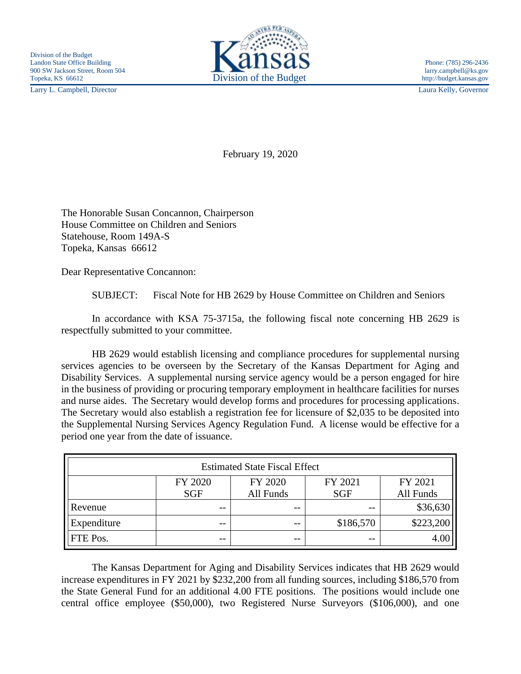Larry L. Campbell, Director Laura Kelly, Governor



February 19, 2020

The Honorable Susan Concannon, Chairperson House Committee on Children and Seniors Statehouse, Room 149A-S Topeka, Kansas 66612

Dear Representative Concannon:

SUBJECT: Fiscal Note for HB 2629 by House Committee on Children and Seniors

In accordance with KSA 75-3715a, the following fiscal note concerning HB 2629 is respectfully submitted to your committee.

HB 2629 would establish licensing and compliance procedures for supplemental nursing services agencies to be overseen by the Secretary of the Kansas Department for Aging and Disability Services. A supplemental nursing service agency would be a person engaged for hire in the business of providing or procuring temporary employment in healthcare facilities for nurses and nurse aides. The Secretary would develop forms and procedures for processing applications. The Secretary would also establish a registration fee for licensure of \$2,035 to be deposited into the Supplemental Nursing Services Agency Regulation Fund. A license would be effective for a period one year from the date of issuance.

| <b>Estimated State Fiscal Effect</b> |            |           |            |           |
|--------------------------------------|------------|-----------|------------|-----------|
|                                      | FY 2020    | FY 2020   | FY 2021    | FY 2021   |
|                                      | <b>SGF</b> | All Funds | <b>SGF</b> | All Funds |
| Revenue                              | $- -$      | $ -$      | $ -$       | \$36,630  |
| Expenditure                          | $- -$      | $ -$      | \$186,570  | \$223,200 |
| <b>FTE</b> Pos.                      | $- -$      | $ -$      | $- -$      | 4.00      |

The Kansas Department for Aging and Disability Services indicates that HB 2629 would increase expenditures in FY 2021 by \$232,200 from all funding sources, including \$186,570 from the State General Fund for an additional 4.00 FTE positions. The positions would include one central office employee (\$50,000), two Registered Nurse Surveyors (\$106,000), and one